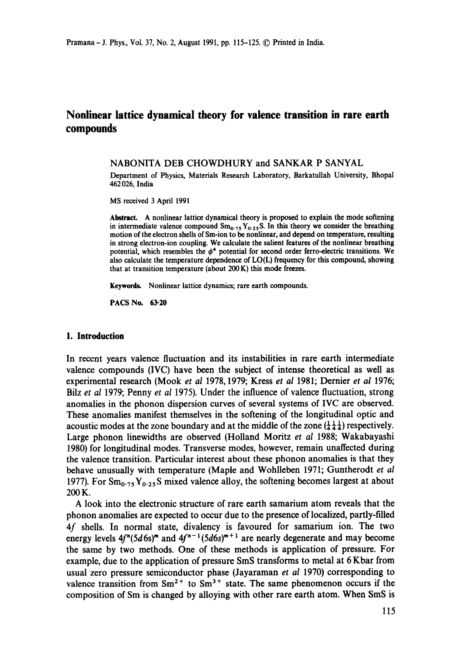# **Nonlinear lattice dynamical theory for valence transition in rare earth compounds**

NABONITA DEB CHOWDHURY and SANKAR P SANYAL

Department of Physics, Materials Research Laboratory, Barkatullah University, Bhopal 462026, India

MS received 3 April 1991

**Abstract.** A nonlinear lattice dynamical theory is proposed to explain the mode softening in intermediate valence compound  $Sm_{0.75}Y_{0.25}S$ . In this theory we consider the breathing motion of the electron shells of Sm-ion to be nonlinear, and depend on temperature, **resulting**  in strong electron-ion coupling. We calculate the salient features of the nonlinear breathing potential, which resembles the  $\phi^4$  potential for second order ferro-electric transitions. We also calculate the temperature dependence of LO(L) frequency for this compound, showing that at transition temperature (about 200 K) this mode freezes.

**Keywords.** Nonlinear lattice dynamics; rare earth compounds.

**PACS No. 63-20** 

### **1. Introduction**

In recent years valence fluctuation and its instabilities in rare earth intermediate valence compounds (IVC) have been the subject of intense theoretical as well as experimental research (Mook *et al* 1978, 1979; Kress *et al* 1981; Dernier *et ai* 1976; Bilz *et al* 1979; Penny *et al* 1975). Under the influence of valence fluctuation, strong anomalies in the phonon dispersion curves of several systems of IVC are observed. These anomalies manifest themselves in the softening of the longitudinal optic and acoustic modes at the zone boundary and at the middle of the zone  $(\frac{1}{4}, \frac{1}{4})$  respectively. Large phonon linewidths are observed (Holland Moritz *et al* 1988; Wakabayashi 1980) for longitudinal modes. Transverse modes, however, remain unaffected during the valence transition. Particular interest about these phonon anomalies is that they behave unusually with temperature (Maple and Wohlleben 1971; Guntherodt *et al*  1977). For  $Sm_{0.75}Y_{0.25}S$  mixed valence alloy, the softening becomes largest at about 200K.

A look into the electronic structure of rare earth samarium atom reveals that the phonon anomalies are expected to occur due to the presence of localized, partly-filled 4f shells. In normal state, divalency is favoured for samarium ion. The two energy levels  $4f''(5d6s)'''$  and  $4f''^{-1}(5d6s)'''' + 1$  are nearly degenerate and may become the same by two methods. One of these methods is application of pressure. For example, due to the application of pressure SmS transforms to metal at 6 Kbar from usual zero pressure semiconductor phase (Jayaraman *et al* 1970) corresponding to valence transition from  $Sm^{2+}$  to  $Sm^{3+}$  state. The same phenomenon occurs if the composition of Sm is changed by alloying with other rare earth atom. When SmS is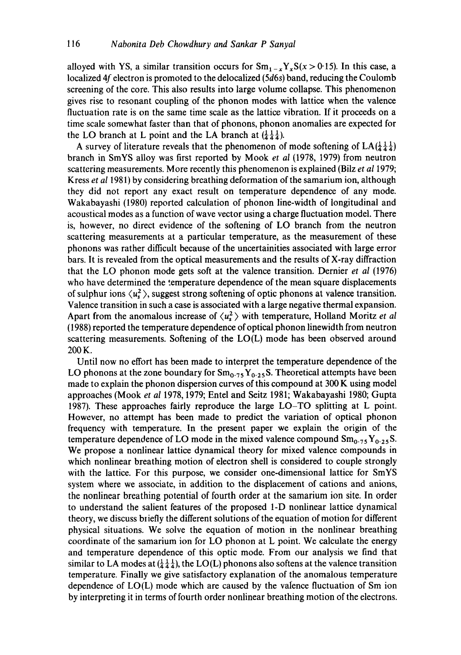alloyed with YS, a similar transition occurs for  $Sm_{1-x}Y_xS(x > 0.15)$ . In this case, a localized 4f electron is promoted to the delocalized (5d6s) band, reducing the Coulomb screening of the core. This also results into large volume collapse. This phenomenon gives rise to resonant coupling of the phonon modes with lattice when the valence fluctuation rate is on the same time scale as the lattice vibration. If it proceeds on a time scale somewhat faster than that of phonons, phonon anomalies are expected for the LO branch at L point and the LA branch at  $(\frac{1}{4} + \frac{1}{4})$ .

A survey of literature reveals that the phenomenon of mode softening of  $LA(\frac{1}{4}, \frac{1}{4})$ branch in SmYS alloy was first reported by Mook *et al* (1978, 1979) from neutron scattering measurements. More recently this phenomenon is explained (Bilz *et al* 1979; Kress *et al* 1981) by considering breathing deformation of the samarium ion, although they did not report any exact result on temperature dependence of any mode. Wakabayashi (1980) reported calculation of phonon line-width of longitudinal and acoustical modes as a function of wave vector using a charge fluctuation model. There is, however, no direct evidence of the softening of LO branch from the neutron scattering measurements at a particular temperature, as the measurement of these phonons was rather difficult because of the uncertainities associated with large error bars. It is revealed from the optical measurements and the results of X-ray diffraction that the LO phonon mode gets soft at the valence transition. Dernier *et al* (1976) who have determined the temperature dependence of the mean square displacements of sulphur ions  $\langle u_{s}^{2} \rangle$ , suggest strong softening of optic phonons at valence transition. Valence transition in such a case is associated with a large negative thermal expansion. Apart from the anomalous increase of  $\langle u_{\xi}^2 \rangle$  with temperature, Holland Moritz *et al* (1988) reported the temperature dependence of optical phonon linewidth from neutron scattering measurements. Softening of the LO(L) mode has been observed around 200 K.

Until now no effort has been made to interpret the temperature dependence of the LO phonons at the zone boundary for  $Sm_{0.75}Y_{0.25}S$ . Theoretical attempts have been made to explain the phonon dispersion curves of this compound at 300 K using model approaches (Mook *et al* 1978, 1979; Entel and Seitz 1981; Wakabayashi 1980; Gupta 1987). These approaches fairly reproduce the large LO-TO splitting at L point. However, no attempt has been made to predict the variation of optical phonon frequency with temperature. In the present paper we explain the origin of the temperature dependence of LO mode in the mixed valence compound  $Sm_{0.75}Y_{0.25}S$ . We propose a nonlinear lattice dynamical theory for mixed valence compounds in which nonlinear breathing motion of electron shell is considered to couple strongly with the lattice. For this purpose, we consider one-dimensional lattice for SmYS system where we associate, in addition to the displacement of cations and anions, the nonlinear breathing potential of fourth order at the samarium ion site. In order to understand the salient features of the proposed 1-D nonlinear lattice dynamical theory, we discuss briefly the different solutions of the equation of motion for different physical situations. We solve the equation of motion in the nonlinear breathing coordinate of the samarium ion for LO phonon at L point. We calculate the energy and temperature dependence of this optic mode. From our analysis we find that similar to LA modes at  $(\frac{1}{4}, \frac{1}{4}, \frac{1}{4})$ , the LO(L) phonons also softens at the valence transition temperature. Finally we give satisfactory explanation of the anomalous temperature dependence of LO(L) mode which are caused by the valence fluctuation of Sm ion by interpreting it in terms of fourth order nonlinear breathing motion of the electrons.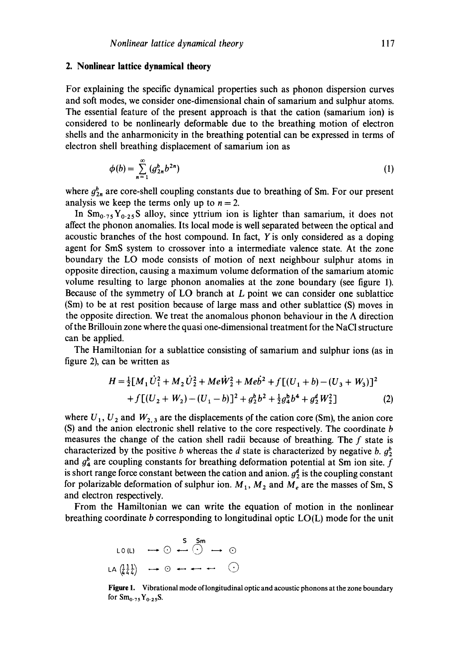### **2. Nonlinear lattice dynamical theory**

For explaining the specific dynamical properties such as phonon dispersion curves and soft modes, we consider one-dimensional chain of samarium and sulphur atoms. The essential feature of the present approach is that the cation (samarium ion) is considered to be nonlinearly deformable due to the breathing motion of electron shells and the anharmonicity in the breathing potential can be expressed in terms of electron shell breathing displacement of samarium ion as

$$
\phi(b) = \sum_{n=1}^{\infty} (g_{2n}^b b^{2n})
$$
 (1)

where  $g_{2n}^b$  are core-shell coupling constants due to breathing of Sm. For our present analysis we keep the terms only up to  $n = 2$ .

In  $Sm_{0.75}Y_{0.25}S$  alloy, since yttrium ion is lighter than samarium, it does not affect the phonon anomalies. Its local mode is well separated between the optical and acoustic branches of the host compound. In fact, Y is only considered as a doping agent for SmS system to crossover into a intermediate valence state. At the zone boundary the LO mode consists of motion of next ncighbour sulphur atoms in opposite direction, causing a maximum volume deformation of the samarium atomic volume resulting to large phonon anomalies at the zone boundary (see figure 1). Because of the symmetry of LO branch at  $L$  point we can consider one sublattice (Sm) to bc at rest position because of large mass and other sublattice (S) moves in the opposite direction. We treat the anomalous phonon behaviour in the  $\Lambda$  direction of the Brillouin zone where the quasi one-dimensional treatment for the NaCI structure can be applied.

The Hamiltonian for a sublattice consisting of samarium and sulphur ions (as in figure 2), can be written as

$$
H = \frac{1}{2} [M_1 \dot{U}_1^2 + M_2 \dot{U}_2^2 + Me\dot{W}_2^2 + Me\dot{b}^2 + f [(U_1 + b) - (U_3 + W_3)]^2
$$
  
+  $f [(U_2 + W_2) - (U_1 - b)]^2 + g_2^b b^2 + \frac{1}{2} g_4^b b^4 + g_2^d W_2^2 ]$  (2)

where  $U_1$ ,  $U_2$  and  $W_{2,3}$  are the displacements of the cation core (Sm), the anion core (S) and the anion electronic shell relative to the core respectively. The coordinate b measures the change of the cation shell radii because of breathing. The  $f$  state is characterized by the positive b whereas the d state is characterized by negative b.  $g_2^b$ and  $g_4^b$  are coupling constants for breathing deformation potential at Sm ion site. f is short range force constant between the cation and anion.  $g_2^d$  is the coupling constant for polarizable deformation of sulphur ion.  $M_1$ ,  $M_2$  and  $M_e$  are the masses of Sm, S and electron respectively.

From the Hamiltonian we can write the equation of motion in the nonlinear breathing coordinate b corresponding to longitudinal optic LO(L) mode for the unit

$$
LO(L) \longrightarrow \odot \longrightarrow \odot \longrightarrow \odot
$$
  
\n
$$
LA(\frac{11}{44}) \longrightarrow \odot \longrightarrow \cdots \longrightarrow \odot
$$

Figure 1. Vibrational mode of longitudinal optic and acoustic phonons at the zone boundary for  $Sm_{0.75}Y_{0.25}S$ .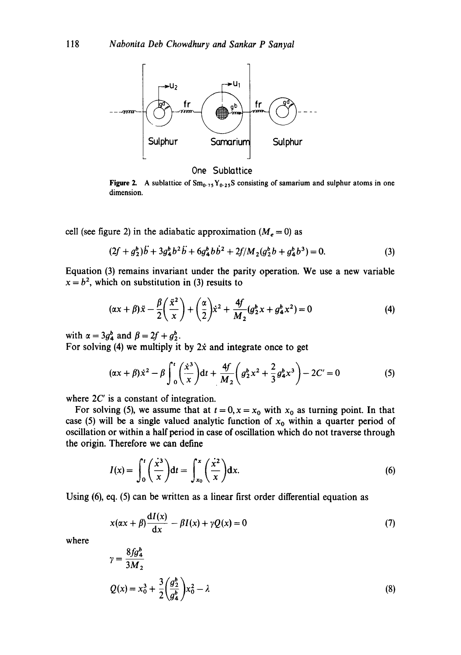

One Sublattice

Figure 2. A sublattice of  $Sm_{0.75}Y_{0.25}S$  consisting of samarium and sulphur atoms in one dimension.

cell (see figure 2) in the adiabatic approximation ( $M_e = 0$ ) as

$$
(2f + g_2^b)\ddot{b} + 3g_4^b b^2 \ddot{b} + 6g_4^b b \dot{b}^2 + 2f/M_2(g_2^b b + g_4^b b^3) = 0.
$$
 (3)

Equation (3) remains invariant under the parity operation. We use a new variable  $x = b<sup>2</sup>$ , which on substitution in (3) results to

$$
(\alpha x + \beta)\ddot{x} - \frac{\beta}{2}\left(\frac{\ddot{x}^2}{x}\right) + \left(\frac{\alpha}{2}\right)\dot{x}^2 + \frac{4f}{M_2}(g_2^b x + g_4^b x^2) = 0
$$
 (4)

with  $\alpha = 3g_4^b$  and  $\beta = 2f + g_2^b$ .

For solving (4) we multiply it by  $2\dot{x}$  and integrate once to get

$$
(\alpha x + \beta) x^2 - \beta \int_0^t \left(\frac{x^3}{x}\right) dt + \frac{4f}{M_2} \left(g_2^b x^2 + \frac{2}{3} g_4^b x^3\right) - 2C' = 0
$$
 (5)

where  $2C'$  is a constant of integration.

For solving (5), we assume that at  $t = 0$ ,  $x = x_0$  with  $x_0$  as turning point. In that case (5) will be a single valued analytic function of  $x_0$  within a quarter period of oscillation or within a half period in case of oscillation which do not traverse through the origin. Therefore we can define

$$
I(x) = \int_0^t \left(\frac{x^3}{x}\right) dt = \int_{x_0}^x \left(\frac{x^2}{x}\right) dx.
$$
 (6)

Using (6), eq. (5) can be written as a linear first order differential equation as

$$
x(\alpha x + \beta) \frac{dI(x)}{dx} - \beta I(x) + \gamma Q(x) = 0
$$
\n(7)

where

$$
\gamma = \frac{8f g_4^2}{3M_2}
$$
  
 
$$
Q(x) = x_0^3 + \frac{3}{2} \left(\frac{g_2^b}{g_4^b}\right) x_0^2 - \lambda
$$
 (8)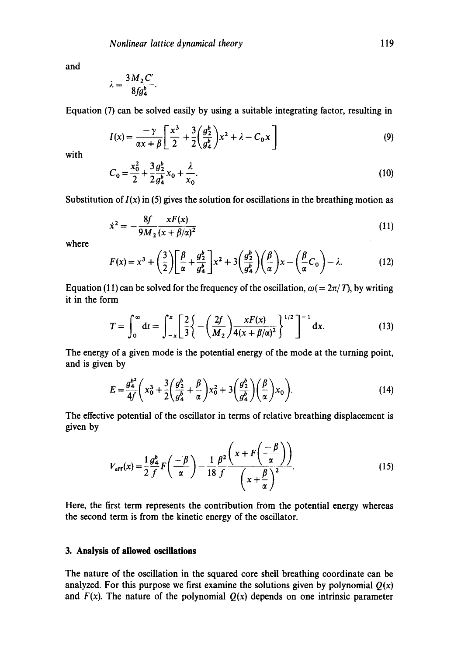and

$$
\lambda = \frac{3 M_2 C'}{8 f g_4^b}.
$$

Equation (7) can be solved easily by using a suitable integrating factor, resulting in

$$
I(x) = \frac{-\gamma}{\alpha x + \beta} \left[ \frac{x^3}{2} + \frac{3}{2} \left( \frac{g_2^b}{g_4^b} \right) x^2 + \lambda - C_0 x \right]
$$
(9)

with

$$
C_0 = \frac{x_0^2}{2} + \frac{3}{2} \frac{g_2^b}{g_4^b} x_0 + \frac{\lambda}{x_0}.
$$
 (10)

Substitution of  $I(x)$  in (5) gives the solution for oscillations in the breathing motion as

$$
\dot{x}^2 = -\frac{8f}{9M_2} \frac{xF(x)}{(x+\beta/\alpha)^2}
$$
 (11)

where

$$
F(x) = x^3 + \left(\frac{3}{2}\right) \left[\frac{\beta}{\alpha} + \frac{g_2^b}{g_4^b}\right] x^2 + 3\left(\frac{g_2^b}{g_4^b}\right) \left(\frac{\beta}{\alpha}\right) x - \left(\frac{\beta}{\alpha}C_0\right) - \lambda. \tag{12}
$$

Equation (11) can be solved for the frequency of the oscillation,  $\omega (= 2\pi/T)$ , by writing it in the form

$$
T = \int_0^\infty dt = \int_{-x}^x \left[ \frac{2}{3} \left\{ - \left( \frac{2f}{M_2} \right) \frac{xF(x)}{4(x + \beta/\alpha)^2} \right\}^{1/2} \right]^{-1} dx. \tag{13}
$$

The energy of a given mode is the potential energy of the mode at the turning point, and is given by

$$
E = \frac{g_a^2}{4f} \left( x_0^3 + \frac{3}{2} \left( \frac{g_2^b}{g_4^b} + \frac{\beta}{\alpha} \right) x_0^2 + 3 \left( \frac{g_2^b}{g_4^b} \right) \left( \frac{\beta}{\alpha} \right) x_0 \right).
$$
 (14)

The effective potential of the oscillator in terms of relative breathing displacement is given by

$$
V_{\text{eff}}(x) = \frac{1}{2} \frac{g_A^b}{f} F\left(-\frac{\beta}{\alpha}\right) - \frac{1}{18} \frac{\beta^2}{f} \frac{\left(x + F\left(-\frac{\beta}{\alpha}\right)\right)}{\left(x + \frac{\beta}{\alpha}\right)^2}.
$$
 (15)

Here, the first term represents the contribution from the potential energy whereas the second term is from the kinetic energy of the oscillator.

## **3. Analysis of allowed oscillations**

The nature of the oscillation in the squared core shell breathing coordinate can be analyzed. For this purpose we first examine the solutions given by polynomial  $Q(x)$ and  $F(x)$ . The nature of the polynomial  $Q(x)$  depends on one intrinsic parameter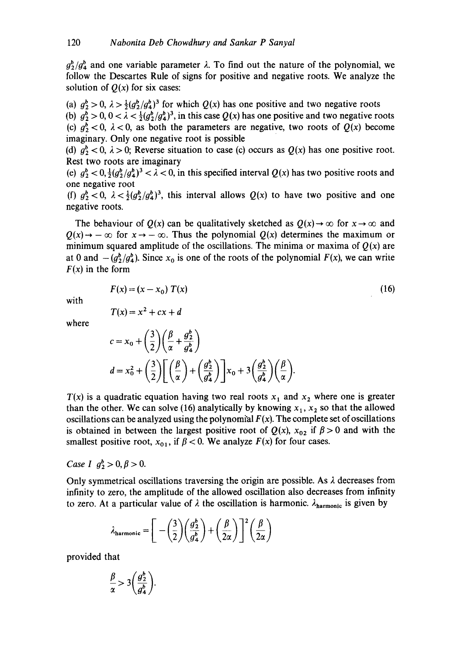$g_2^b/g_4^b$  and one variable parameter  $\lambda$ . To find out the nature of the polynomial, we follow the Descartes Rule of signs for positive and negative roots. We analyze the solution of  $Q(x)$  for six cases:

(a)  $g_2^b > 0$ ,  $\lambda > \frac{1}{2}(g_2^b/g_4^b)^3$  for which  $Q(x)$  has one positive and two negative roots (b)  $g_2^b > 0$ ,  $0 < \lambda < \frac{1}{2}(g_2^b/g_4^b)^3$ , in this case  $Q(x)$  has one positive and two negative roots (c)  $g_2^b$  < 0,  $\lambda$  < 0, as both the parameters are negative, two roots of  $Q(x)$  become imaginary. Only one negative root is possible

(d)  $g_2^b$  < 0,  $\lambda$  > 0; Reverse situation to case (c) occurs as  $Q(x)$  has one positive root. Rest two roots are imaginary

(e)  $g_2^b < 0$ ,  $\frac{1}{2}(g_2^b/g_4^b)^3 < \lambda < 0$ , in this specified interval  $Q(x)$  has two positive roots and one negative root

(f)  $g_2^b < 0$ ,  $\lambda < \frac{1}{2}(g_2^b/g_4^b)^3$ , this interval allows  $Q(x)$  to have two positive and one negative roots.

The behaviour of  $Q(x)$  can be qualitatively sketched as  $Q(x) \rightarrow \infty$  for  $x \rightarrow \infty$  and  $Q(x) \rightarrow -\infty$  for  $x \rightarrow -\infty$ . Thus the polynomial  $Q(x)$  determines the maximum or minimum squared amplitude of the oscillations. The minima or maxima of  $O(x)$  are at 0 and  $-(g_2^b/g_4^b)$ . Since  $x_0$  is one of the roots of the polynomial  $F(x)$ , we can write  $F(x)$  in the form

$$
F(x) = (x - x_0) T(x)
$$
 (16)

with

$$
T(x) = x^2 + cx + d
$$

where

$$
c = x_0 + \left(\frac{3}{2}\right)\left(\frac{\beta}{\alpha} + \frac{g_2^b}{g_4^b}\right)
$$
  

$$
d = x_0^2 + \left(\frac{3}{2}\right)\left[\left(\frac{\beta}{\alpha}\right) + \left(\frac{g_2^b}{g_4^b}\right)\right]x_0 + 3\left(\frac{g_2^b}{g_4^b}\right)\left(\frac{\beta}{\alpha}\right).
$$

 $T(x)$  is a quadratic equation having two real roots  $x_1$  and  $x_2$  where one is greater than the other. We can solve (16) analytically by knowing  $x_1$ ,  $x_2$  so that the allowed oscillations can be analyzed using the polynomial  $F(x)$ . The complete set of oscillations is obtained in between the largest positive root of  $Q(x)$ ,  $x_{02}$  if  $\beta > 0$  and with the smallest positive root,  $x_{01}$ , if  $\beta < 0$ . We analyze  $F(x)$  for four cases.

*Case I*  $g_2^b > 0, \beta > 0$ .

Only symmetrical oscillations traversing the origin are possible. As  $\lambda$  decreases from infinity to zero, the amplitude of the allowed oscillation also decreases from infinity to zero. At a particular value of  $\lambda$  the oscillation is harmonic.  $\lambda_{\text{harmonic}}$  is given by

$$
\lambda_{\text{harmonic}} = \left[ -\left(\frac{3}{2}\right) \left(\frac{g_2^b}{g_4^b}\right) + \left(\frac{\beta}{2\alpha}\right) \right]^2 \left(\frac{\beta}{2\alpha}\right)
$$

provided that

$$
\frac{\beta}{\alpha} > 3\bigg(\frac{g_2^b}{g_4^b}\bigg).
$$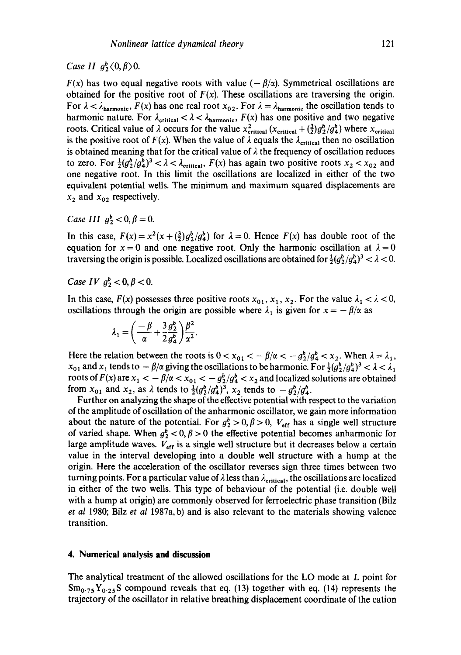# *Case II*  $q_2^b \langle 0, \beta \rangle 0$ *.*

*F(x)* has two equal negative roots with value  $(-\beta/\alpha)$ . Symmetrical oscillations are obtained for the positive root of  $F(x)$ . These oscillations are traversing the origin. For  $\lambda < \lambda_{\text{harmonic}}$ ,  $F(x)$  has one real root  $x_{02}$ . For  $\lambda = \lambda_{\text{harmonic}}$  the oscillation tends to harmonic nature. For  $\lambda_{critical} < \lambda < \lambda_{harmonic}$ ,  $F(x)$  has one positive and two negative roots. Critical value of  $\lambda$  occurs for the value  $x_{critical}^2$  ( $x_{critical} + (\frac{3}{2})g_2^b/g_4^b$ ) where  $x_{critical}$ is the positive root of  $F(x)$ . When the value of  $\lambda$  equals the  $\lambda_{critical}$  then no oscillation is obtained meaning that for the critical value of  $\lambda$  the frequency of oscillation reduces to zero. For  $\frac{1}{2}(g_2^b/g_4^b)^3 < \lambda < \lambda_{critical}$ ,  $F(x)$  has again two positive roots  $x_2 < x_{02}$  and one negative root. In this limit the oscillations are localized in either of the two equivalent potential wells. The minimum and maximum squared displacements are  $x_2$  and  $x_{02}$  respectively.

*Case III*  $q_2^b < 0, \beta = 0$ *.* 

In this case,  $F(x) = x^2(x + (\frac{3}{2})g_2^b/g_4^b)$  for  $\lambda = 0$ . Hence  $F(x)$  has double root of the equation for  $x = 0$  and one negative root. Only the harmonic oscillation at  $\lambda = 0$ traversing the origin is possible. Localized oscillations are obtained for  $\frac{1}{2}(g_2^b/g_4^b)^3 < \lambda < 0$ .

*Case IV*  $q_2^b < 0, \beta < 0$ *.* 

In this case,  $F(x)$  possesses three positive roots  $x_{01}$ ,  $x_1$ ,  $x_2$ . For the value  $\lambda_1 < \lambda < 0$ , oscillations through the origin are possible where  $\lambda_1$  is given for  $x = -\beta/\alpha$  as

$$
\lambda_1 = \left(\frac{-\beta}{\alpha} + \frac{3 g_2^b}{2 g_4^b}\right) \frac{\beta^2}{\alpha^2}.
$$

Here the relation between the roots is  $0 < x_{01} < -\beta/\alpha < -g_2^b/g_4^b < x_2$ . When  $\lambda = \lambda_1$ ,  $x_{01}$  and  $x_1$  tends to  $-\beta/\alpha$  giving the oscillations to be harmonic. For  $\frac{1}{2}(g_2^b/g_4^b)^3 < \lambda < \lambda_1$ roots of  $F(x)$  are  $x_1 < -\beta/\alpha < x_{01} < -g_2^b/g_4^b < x_2$  and localized solutions are obtained from  $x_{01}$  and  $x_2$ , as  $\lambda$  tends to  $\frac{1}{2}(g_2^b/g_4^b)^3$ ,  $x_2$  tends to  $-g_2^b/g_4^b$ .

Further on analyzing the shape of the effective potential with respect to the variation of the amplitude of oscillation of the anharmonic oscillator, we gain more information about the nature of the potential. For  $g_2^b > 0$ ,  $\beta > 0$ ,  $V_{\text{eff}}$  has a single well structure of varied shape. When  $g^b_2 < 0, \beta > 0$  the effective potential becomes anharmonic for large amplitude waves.  $V_{\text{eff}}$  is a single well structure but it decreases below a certain value in the interval developing into a double well structure with a hump at the origin. Here the acceleration of the oscillator reverses sign three times between two turning points. For a particular value of  $\lambda$  less than  $\lambda_{\text{critical}}$ , the oscillations are localized in either of the two wells. This type of behaviour of the potential (i.e. double well with a hump at origin) are commonly observed for ferroelectric phase transition (Bilz *et al* 1980; Bilz *et al* 1987a, b) and is also relevant to the materials showing valence transition.

### **4. Numerical analysis and discussion**

The analytical treatment of the allowed oscillations for the LO mode at L point for  $\text{Sm}_{0.75}$  Y<sub>0.25</sub>S compound reveals that eq. (13) together with eq. (14) represents the trajectory of the oscillator in relative breathing displacement coordinate of the cation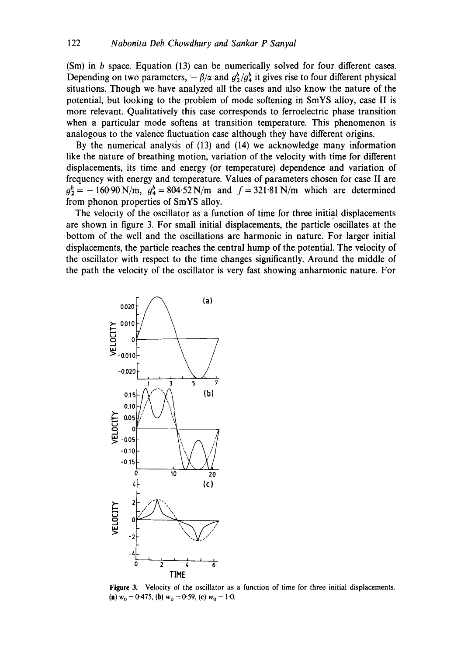(Sm) in b space. Equation (13) can be numerically solved for four different cases. Depending on two parameters,  $-\beta/\alpha$  and  $g_2^b/g_4^b$  it gives rise to four different physical situations. Though we have analyzed all the cases and also know the nature of the potential, but looking to the problem of mode softening in SmYS alloy, case II is more relevant. Qualitatively this case corresponds to ferroelectric phase transition when a particular mode softens at transition temperature. This phenomenon is analogous to the valence fluctuation case although they have different origins.

By the numerical analysis of (13) and (14) we acknowledge many information like the nature of breathing motion, variation of the velocity with time for different displacements, its time and energy (or temperature) dependence and variation of frequency with energy and temperature. Values of parameters chosen for case II are  $g_2^b = -160.90$  N/m,  $g_4^b = 804.52$  N/m and  $f = 321.81$  N/m which are determined from phonon properties of SmYS alloy.

The velocity of the oscillator as a function of time for three initial displacements are shown in figure 3. For small initial displacements, the particle oscillates at the bottom of the well and the oscillations are harmonic in nature. For larger initial displacements, the particle reaches the central hump of the potential. The velocity of the oscillator with respect to the time changes significantly. Around the middle of the path the velocity of the oscillator is very fast showing anharmonic nature. For



**Figure** 3. Velocity of the oscillator as a function of time for three initial displacements. (a)  $w_0 = 0.475$ , (b)  $w_0 = 0.59$ , (c)  $w_0 = 1.0$ .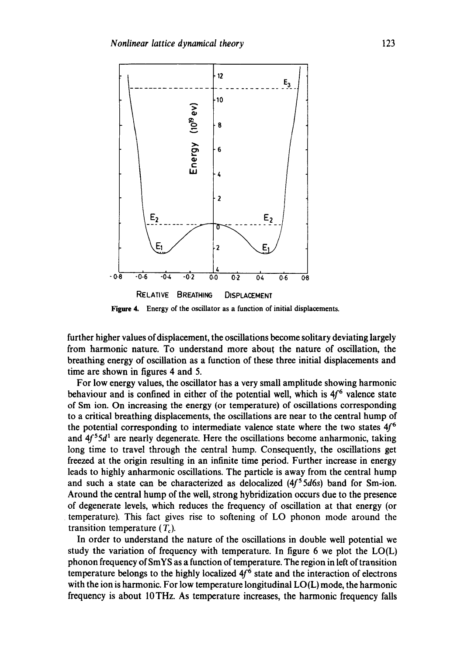

**Figure** 4. Energy of the oscillator as a function of initial displacements.

further higher values of displacement, the oscillations become solitary deviating largely from harmonic nature. To understand more abou~ the nature of oscillation, the breathing energy of oscillation as a function of these three initial displacements and time are shown in figures 4 and 5.

For low energy values, the oscillator has a very small amplitude showing harmonic behaviour and is confined in either of the potential well, which is  $4f<sup>6</sup>$  valence state of Sm ion. On increasing the energy (or temperature) of oscillations corresponding to a critical breathing displacements, the oscillations are near to the central hump of the potential corresponding to intermediate valence state where the two states  $4f<sup>6</sup>$ and  $4f^55d^1$  are nearly degenerate. Here the oscillations become anharmonic, taking long time to travel through the central hump. Consequently, the oscillations get freezed at the origin resulting in an infinite time period. Further increase in energy leads to highly anharmonic oscillations. The particle is away from the central hump and such a state can be characterized as delocalized  $(4f<sup>5</sup>5d6s)$  band for Sm-ion. Around the central hump of the well, strong hybridization occurs due to the presence of degenerate levels, which reduces the frequency of oscillation at that energy (or temperature). This fact gives rise to softening of LO phonon mode around the transition temperature  $(T_c)$ .

In order to understand the nature of the oscillations in double well potential we study the variation of frequency with temperature. In figure 6 we plot the LO(L) phonon frequency of SmYS as a function of temperature. The region in left of transition temperature belongs to the highly localized  $4f<sup>6</sup>$  state and the interaction of electrons with the ion is harmonic. For low temperature longitudinal LO(L) mode, the harmonic frequency is about 10THz. As temperature increases, the harmonic frequency falls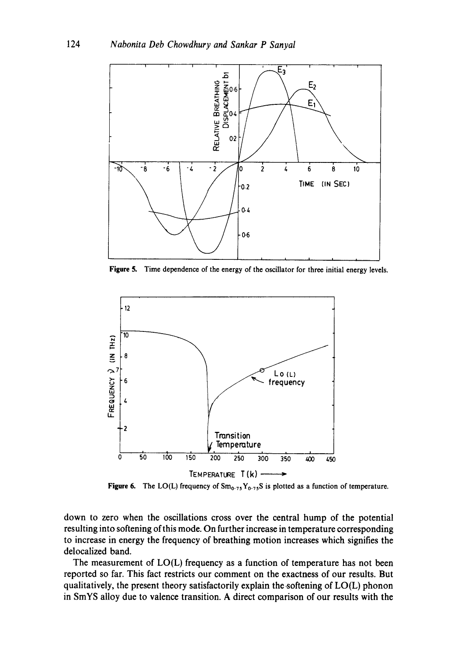

**Figure** 5. Time dependence of the energy of the oscillator for three initial energy levels.



**Figure 6.** The LO(L) frequency of  $Sm_{0.75}Y_{0.75}S$  is plotted as a function of temperature.

down to zero when the oscillations cross over the central hump of the potential resulting into softening of this mode. On further increase in temperature corresponding to increase in energy the frequency of breathing motion increases which signifies the delocalized band.

The measurement of LO(L) frequency as a function of temperature has not been reported so far. This fact restricts our comment on the exactness of our results. But qualitatively, the present theory satisfactorily explain the softening of  $LO(L)$  phonon in SmYS alloy due to valence transition. A direct comparison of our results with the